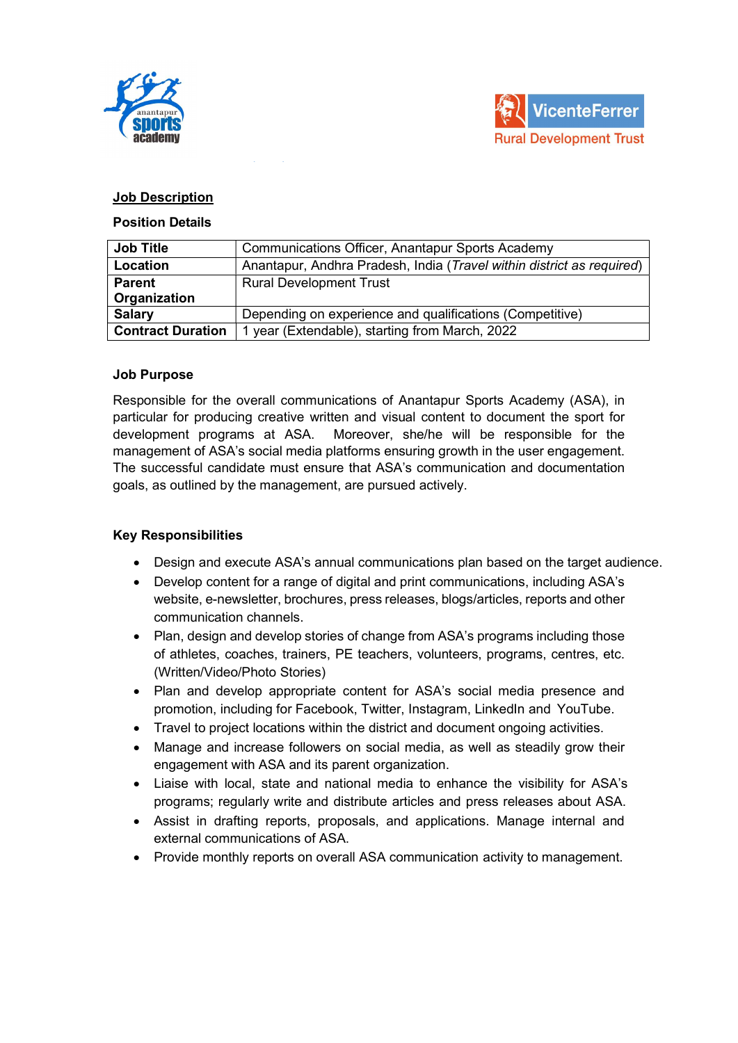



## Job Description

#### Position Details

| <b>Job Title</b>         | Communications Officer, Anantapur Sports Academy                      |  |
|--------------------------|-----------------------------------------------------------------------|--|
| Location                 | Anantapur, Andhra Pradesh, India (Travel within district as required) |  |
| <b>Parent</b>            | <b>Rural Development Trust</b>                                        |  |
| Organization             |                                                                       |  |
| <b>Salary</b>            | Depending on experience and qualifications (Competitive)              |  |
| <b>Contract Duration</b> | 1 year (Extendable), starting from March, 2022                        |  |

### Job Purpose

Responsible for the overall communications of Anantapur Sports Academy (ASA), in particular for producing creative written and visual content to document the sport for development programs at ASA. Moreover, she/he will be responsible for the management of ASA's social media platforms ensuring growth in the user engagement. The successful candidate must ensure that ASA's communication and documentation goals, as outlined by the management, are pursued actively.

### Key Responsibilities

- Design and execute ASA's annual communications plan based on the target audience.
- Develop content for a range of digital and print communications, including ASA's website, e-newsletter, brochures, press releases, blogs/articles, reports and other communication channels.
- Plan, design and develop stories of change from ASA's programs including those of athletes, coaches, trainers, PE teachers, volunteers, programs, centres, etc. (Written/Video/Photo Stories)
- Plan and develop appropriate content for ASA's social media presence and promotion, including for Facebook, Twitter, Instagram, LinkedIn and YouTube.
- Travel to project locations within the district and document ongoing activities.
- Manage and increase followers on social media, as well as steadily grow their engagement with ASA and its parent organization.
- Liaise with local, state and national media to enhance the visibility for ASA's programs; regularly write and distribute articles and press releases about ASA.
- Assist in drafting reports, proposals, and applications. Manage internal and external communications of ASA.
- Provide monthly reports on overall ASA communication activity to management.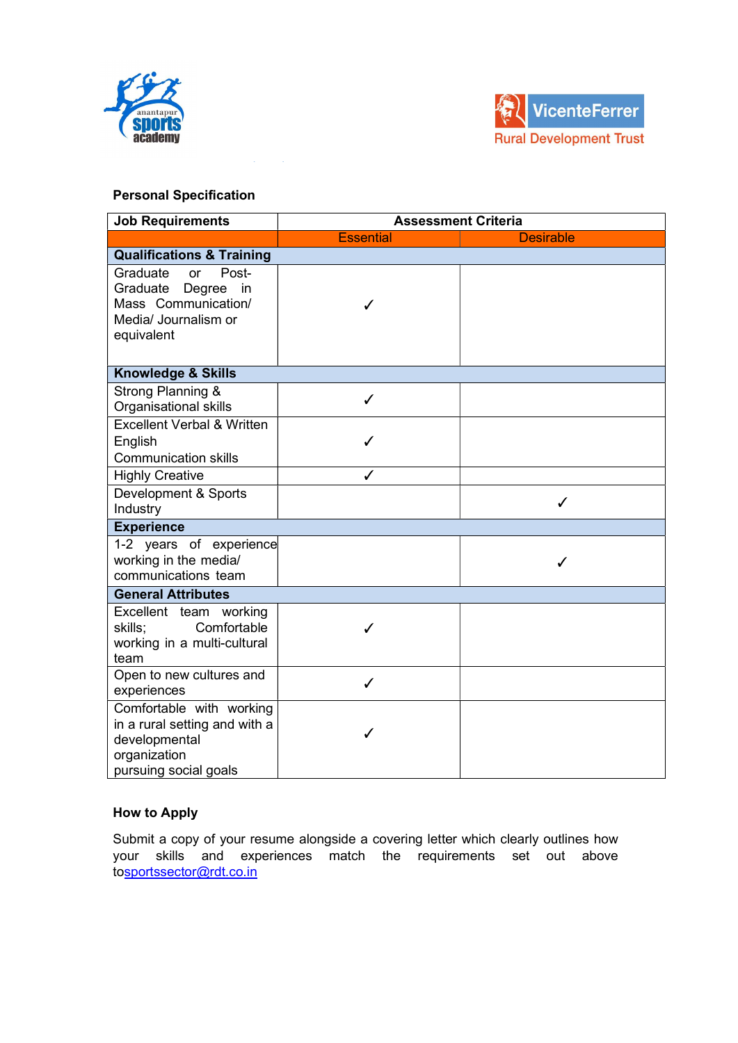



# Personal Specification

| <b>Job Requirements</b>                                                                                             | <b>Assessment Criteria</b> |                  |  |  |
|---------------------------------------------------------------------------------------------------------------------|----------------------------|------------------|--|--|
|                                                                                                                     | <b>Essential</b>           | <b>Desirable</b> |  |  |
| <b>Qualifications &amp; Training</b>                                                                                |                            |                  |  |  |
| Graduate<br>Post-<br>or<br>Graduate<br>Degree<br>in<br>Mass Communication/<br>Media/ Journalism or<br>equivalent    | ✓                          |                  |  |  |
| <b>Knowledge &amp; Skills</b>                                                                                       |                            |                  |  |  |
| Strong Planning &<br>Organisational skills                                                                          | ✓                          |                  |  |  |
| <b>Excellent Verbal &amp; Written</b><br>English<br><b>Communication skills</b>                                     | ✓                          |                  |  |  |
| <b>Highly Creative</b>                                                                                              | ./                         |                  |  |  |
| Development & Sports<br>Industry                                                                                    |                            | ✓                |  |  |
| <b>Experience</b>                                                                                                   |                            |                  |  |  |
| 1-2 years of experience<br>working in the media/<br>communications team                                             |                            | ✓                |  |  |
| <b>General Attributes</b>                                                                                           |                            |                  |  |  |
| Excellent team working<br>Comfortable<br>skills;<br>working in a multi-cultural<br>team                             |                            |                  |  |  |
| Open to new cultures and<br>experiences                                                                             | ✓                          |                  |  |  |
| Comfortable with working<br>in a rural setting and with a<br>developmental<br>organization<br>pursuing social goals |                            |                  |  |  |

### How to Apply

Submit a copy of your resume alongside a covering letter which clearly outlines how your skills and experiences match the requirements set out above tosportssector@rdt.co.in